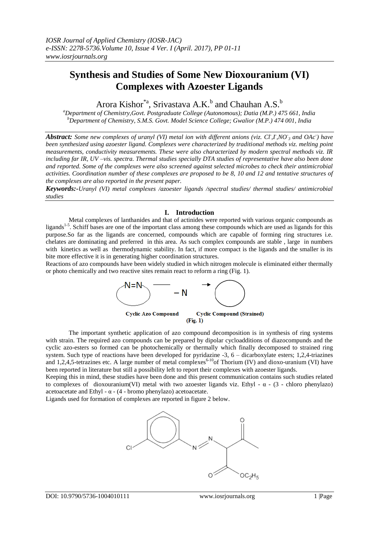# **Synthesis and Studies of Some New Dioxouranium (VI) Complexes with Azoester Ligands**

Arora Kishor<sup>\*a</sup>, Srivastava A.K.<sup>b</sup> and Chauhan A.S.<sup>b</sup>

*<sup>a</sup>Department of Chemistry,Govt. Postgraduate College (Autonomous); Datia (M.P.) 475 661, India <sup>b</sup>Department of Chemistry, S.M.S. Govt. Model Science College; Gwalior (M.P.) 474 001, India*

*Abstract: Some new complexes of uranyl (VI) metal ion with different anions (viz. CI,I,NO<sub>3</sub> and OAc<sup>-</sup>) have been synthesized using azoester ligand. Complexes were characterized by traditional methods viz. melting point measurements, conductivity measurements. These were also characterized by modern spectral methods viz. IR including far IR, UV –vis. spectra. Thermal studies specially DTA studies of representative have also been done and reported. Some of the complexes were also screened against selected microbes to check their antimicrobial activities. Coordination number of these complexes are proposed to be 8, 10 and 12 and tentative structures of the complexes are also reported in the present paper.*

*Keywords:-Uranyl (VI) metal complexes /azoester ligands /spectral studies/ thermal studies/ antimicrobial studies*

# **I. Introduction**

Metal complexes of lanthanides and that of actinides were reported with various organic compounds as ligands<sup>1-5</sup>. Schiff bases are one of the important class among these compounds which are used as ligands for this purpose.So far as the ligands are concerned, compounds which are capable of forming ring structures i.e. chelates are dominating and preferred in this area. As such complex compounds are stable , large in numbers with kinetics as well as thermodynamic stability. In fact, if more compact is the ligands and the smaller is its bite more effective it is in generating higher coordination structures.

Reactions of azo compounds have been widely studied in which nitrogen molecule is eliminated either thermally or photo chemically and two reactive sites remain react to reform a ring (Fig. 1).



The important synthetic application of azo compound decomposition is in synthesis of ring systems with strain. The required azo compounds can be prepared by dipolar cycloadditions of diazocompunds and the cyclic azo-esters so formed can be photochemically or thermally which finally decomposed to strained ring system. Such type of reactions have been developed for pyridazine -3, 6 – dicarboxylate esters; 1,2,4-triazines and 1,2,4,5-tetrazines etc. A large number of metal complexes<sup>6-10</sup>of Thorium (IV) and dioxo-uranium (VI) have been reported in literature but still a possibility left to report their complexes with azoester ligands.

Keeping this in mind, these studies have been done and this present communication contains such studies related to complexes of dioxouranium(VI) metal with two azoester ligands viz. Ethyl -  $\alpha$  - (3 - chloro phenylazo) acetoacetate and Ethyl -  $\alpha$  - (4 - bromo phenylazo) acetoacetate.

Ligands used for formation of complexes are reported in figure 2 below.

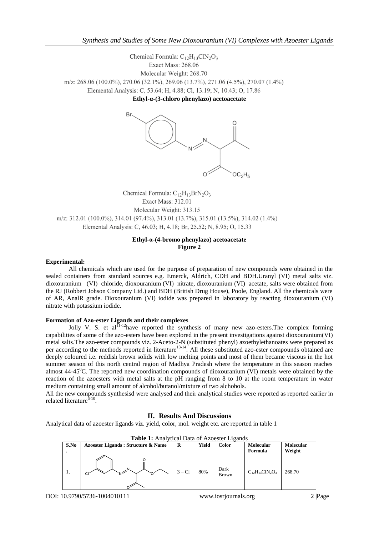Chemical Formula:  $C_{12}H_{13}CIN_2O_3$ Exact Mass: 268.06 Molecular Weight: 268.70 m/z: 268.06 (100.0%), 270.06 (32.1%), 269.06 (13.7%), 271.06 (4.5%), 270.07 (1.4%) Elemental Analysis: C, 53.64; H, 4.88; Cl, 13.19; N, 10.43; O, 17.86

**Ethyl-α-(3-chloro phenylazo) acetoacetate**



Chemical Formula:  $C_{12}H_{13}BrN_2O_3$ Exact Mass: 312.01 Molecular Weight: 313.15 m/z: 312.01 (100.0%), 314.01 (97.4%), 313.01 (13.7%), 315.01 (13.5%), 314.02 (1.4%) Elemental Analysis: C, 46.03; H, 4.18; Br, 25.52; N, 8.95; O, 15.33

# **Ethyl-α-(4-bromo phenylazo) acetoacetate Figure 2**

## **Experimental:**

All chemicals which are used for the purpose of preparation of new compounds were obtained in the sealed containers from standard sources e.g. Emerck, Aldrich, CDH and BDH.Uranyl (VI) metal salts viz. dioxouranium (VI) chloride, dioxouranium (VI) nitrate, dioxouranium (VI) acetate, salts were obtained from the RJ (Robbert Johson Company Ltd.) and BDH (British Drug House), Poole, England. All the chemicals were of AR, AnalR grade. Dioxouranium (VI) iodide was prepared in laboratory by reacting dioxouranium (VI) nitrate with potassium iodide.

#### **Formation of Azo-ester Ligands and their complexes**

Jolly V. S. et al $^{11-12}$ have reported the synthesis of many new azo-esters. The complex forming capabilities of some of the azo-esters have been explored in the present investigations against dioxouranium(VI) metal salts.The azo-ester compounds viz. 2-Aceto-2-N (substituted phenyl) azoethylethanoates were prepared as per according to the methods reported in literature<sup>13-14</sup>. All these substituted azo-ester compounds obtained are deeply coloured i.e. reddish brown solids with low melting points and most of them became viscous in the hot summer season of this north central region of Madhya Pradesh where the temperature in this season reaches almost  $44-45^{\circ}$ C. The reported new coordination compounds of dioxouranium (VI) metals were obtained by the reaction of the azoesters with metal salts at the pH ranging from 8 to 10 at the room temperature in water medium containing small amount of alcohol/butanol/mixture of two alchohols.

All the new compounds synthesisd were analysed and their analytical studies were reported as reported earlier in related literature<sup>6-10</sup>.

## **II. Results And Discussions**

Analytical data of azoester ligands viz. yield, color, mol. weight etc. are reported in table 1

| S.No | Azoester Ligands : Structure & Name | R        | Yield | <b>Color</b>         | Molecular<br>Formula   | <b>Molecular</b><br>Weight |
|------|-------------------------------------|----------|-------|----------------------|------------------------|----------------------------|
|      | $\mathcal{L}^{\mathsf{N}}$          | $3 - C1$ | 80%   | Dark<br><b>Brown</b> | $C_{12}H_{13}CIN_2O_3$ | 268.70                     |

#### **Table 1:** Analytical Data of Azoester Ligands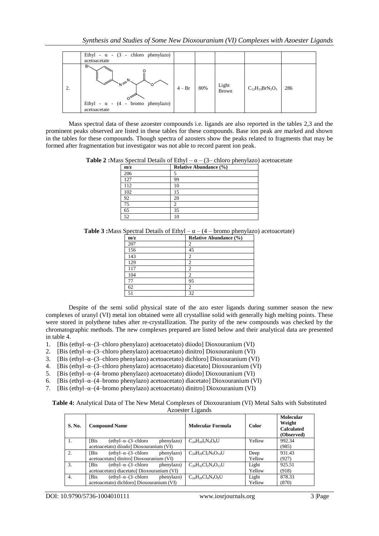|    | Ethyl - $\alpha$ - (3 - chloro phenylazo)<br>acetoacetate       |          |     |                       |                        |     |
|----|-----------------------------------------------------------------|----------|-----|-----------------------|------------------------|-----|
| 2. | Br<<br>Ethyl - $\alpha$ - (4 - bromo phenylazo)<br>acetoacetate | $4 - Br$ | 80% | Light<br><b>Brown</b> | $C_{12}H_{13}BrN_2O_3$ | 286 |

Mass spectral data of these azoester compounds i.e. ligands are also reported in the tables 2,3 and the prominent peaks observed are listed in these tables for these compounds. Base ion peak are marked and shown in the tables for these compounds. Though spectra of azosters show the peaks related to fragments that may be formed after fragmentation but investigator was not able to record parent ion peak.

**Table 2 :**Mass Spectral Details of Ethyl –  $\alpha$  – (3– chloro phenylazo) acetoacetate

| -<br>m/z | <b>Relative Abundance (%)</b> |
|----------|-------------------------------|
| 206      |                               |
| 127      | 99                            |
| 112      | 10                            |
| 102      | 15                            |
| 92       | 20                            |
| 75       |                               |
| 65       | 35                            |
| 52       |                               |

**Table 3 :**Mass Spectral Details of Ethyl – α – (4 – bromo phenylazo) acetoacetate)

| m/z | <b>Relative Abundance (%)</b> |
|-----|-------------------------------|
| 207 | 2                             |
| 156 | 45                            |
| 143 | 2                             |
| 129 | $\overline{2}$                |
| 117 | 2                             |
| 104 | 2                             |
| 77  | 95                            |
| 62  | 2                             |
| 51  | 32                            |

Despite of the semi solid physical state of the azo ester ligands during summer season the new complexes of uranyl (VI) metal ion obtained were all crystalline solid with generally high melting points. These were stored in polythene tubes after re-crystallization. The purity of the new compounds was checked by the chromatographic methods. The new complexes prepared are listed below and their analytical data are presented in table 4.

- 1. [Bis (ethyl–α–(3–chloro phenylazo) acetoacetato) diiodo] Dioxouranium (VI)
- 2. [Bis (ethyl–α–(3–chloro phenylazo) acetoacetato) dinitro] Dioxouranium (VI)
- 3. [Bis (ethyl–α–(3–chloro phenylazo) acetoacetato) dichloro] Dioxouranium (VI)
- 4. [Bis (ethyl–α–(3–chloro phenylazo) acetoacetato) diacetato] Dioxouranium (VI)
- 5. [Bis (ethyl–α–(4–bromo phenylazo) acetoacetato) diiodo] Dioxouranium (VI)
- 6. [Bis (ethyl–α–(4–bromo phenylazo) acetoacetato) diacetato] Dioxouranium (VI)
- 7. [Bis (ethyl–α–(4–bromo phenylazo) acetoacetato) dinitro] Dioxouranium (VI)

**Table 4:** Analytical Data of The New Metal Complexes of Dioxouranium (VI) Metal Salts with Substituted Azoester Ligands

| S. No. | <b>Compound Name</b>                                   | Molecular Formula            | Color  | <b>Molecular</b><br>Weight<br><b>Calculated</b><br>(Observed) |
|--------|--------------------------------------------------------|------------------------------|--------|---------------------------------------------------------------|
| 1.     | <b>Bis</b><br>$(ethyl-\alpha-(3-chloro)$<br>phenylazo) | $C_{24}H_{28}I_2N_4O_8U$     | Yellow | 992.34                                                        |
|        | acetoacetato) diiodo] Dioxouranium (VI)                |                              |        | (985)                                                         |
| 2.     | $(ethyl-\alpha-(3-chloro)$<br>phenylazo)<br><b>Bis</b> | $C_{24}H_{26}Cl_2N_6O_{14}U$ | Deep   | 931.43                                                        |
|        | acetoacetato] dinitro] Dioxouranium (VI)               |                              | Yellow | (927)                                                         |
| 3.     | $(ethyl-\alpha-(3-chloro)$<br><b>Bis</b><br>phenylazo) | $C_{28}H_{32}Cl_2N_4O_{12}U$ | Light  | 925.51                                                        |
|        | acetoacetato) diacetato] Dioxouranium (VI)             |                              | Yellow | (918)                                                         |
| 4.     | <b>Bis</b><br>$(ethyl-\alpha-(3-chloro)$<br>phenylazo) | $C24H26Cl4N4O8U$             | Light  | 878.33                                                        |
|        | acetoacetato) dichloro] Dioxouranium (VI)              |                              | Yellow | (870)                                                         |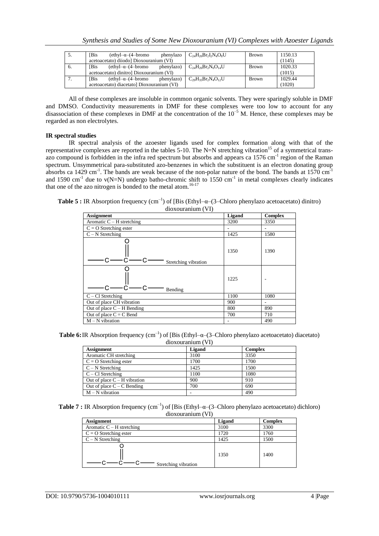| C.  | <b>IBis</b> | $(\text{ethyl-}\alpha-(4-\text{bromo})$    | phenylazo  | $C_{24}H_{26}Br_2I_2N_4O_8U$ | <b>Brown</b> | 1150.13 |
|-----|-------------|--------------------------------------------|------------|------------------------------|--------------|---------|
|     |             | acetoacetato) diiodo] Dioxouranium (VI)    |            |                              |              | (1145)  |
| 6.  | <b>IBis</b> | $(ethyl-\alpha-(4-bromo$                   | phenylazo) | $C_{24}H_{26}Br_2N_6O_{14}U$ | <b>Brown</b> | 1020.33 |
|     |             | acetoacetato) dinitro] Dioxouranium (VI)   |            |                              |              | (1015)  |
| . . | <b>IBis</b> | $(ethyl-\alpha-(4-bromo$                   | phenylazo) | $C_{29}H_{35}Br_2N_4O_{12}U$ | <b>Brown</b> | 1029.44 |
|     |             | acetoacetato) diacetato] Dioxouranium (VI) |            |                              |              | (1020)  |

All of these complexes are insoluble in common organic solvents. They were sparingly soluble in DMF and DMSO. Conductivity measurements in DMF for these complexes were too low to account for any disassociation of these complexes in DMF at the concentration of the  $10^{-5}$  M. Hence, these complexes may be regarded as non electrolytes.

## **IR spectral studies**

IR spectral analysis of the azoester ligands used for complex formation along with that of the representative complexes are reported in the tables 5-10. The N=N stretching vibration<sup>15</sup> of a symmetrical transazo compound is forbidden in the infra red spectrum but absorbs and appears ca 1576 cm<sup>-1</sup> region of the Raman spectrum. Unsymmetrical para-substituted azo-benzenes in which the substituent is an electron donating group absorbs ca 1429 cm<sup>-1</sup>. The bands are weak because of the non-polar nature of the bond. The bands at  $1570 \text{ cm}^{-1}$ and 1590 cm<sup>-1</sup> due to  $v(N=N)$  undergo batho-chromic shift to 1550 cm<sup>-1</sup> in metal complexes clearly indicates that one of the azo nitrogen is bonded to the metal atom.<sup>16-17</sup>

**Table 5 :** IR Absorption frequency  $(cm^{-1})$  of [Bis (Ethyl- $\alpha$ -(3-Chloro phenylazo acetoacetato) dinitro) dioxouranium (VI)

| <b>Assignment</b>            | Ligand | <b>Complex</b> |  |  |
|------------------------------|--------|----------------|--|--|
| Aromatic $C - H$ stretching  | 3200   | 3350           |  |  |
| $C = O$ Stretching ester     |        |                |  |  |
| $C - N$ Stretching           | 1425   | 1580           |  |  |
| Stretching vibration         | 1350   | 1390           |  |  |
| Bending                      | 1225   |                |  |  |
| $C - Cl$ Stretching          | 1100   | 1080           |  |  |
| Out of place CH vibration    | 900    |                |  |  |
| Out of place $C - H$ Bending | 800    | 890            |  |  |
| Out of place $C = C$ Bend    | 700    | 710            |  |  |
| $M - N$ vibration            | ۰      | 490            |  |  |

**Table 6:** IR Absorption frequency  $(cm^{-1})$  of [Bis (Ethyl- $\alpha$ -(3-Chloro phenylazo acetoacetato) diacetato) dioxouranium (VI)

| <b>Assignment</b>              | Ligand | <b>Complex</b> |
|--------------------------------|--------|----------------|
| Aromatic CH stretching         | 3100   | 3350           |
| $C = O$ Stretching ester       | 1700   | 1700           |
| $C - N$ Stretching             | 1425   | 1500           |
| $C - Cl$ Stretching            | 1100   | 1080           |
| Out of place $C - H$ vibration | 900    | 910            |
| Out of place $C - C$ Bending   | 700    | 690            |
| $M - N$ vibration              |        | 490            |

**Table 7 :** IR Absorption frequency  $(cm^{-1})$  of [Bis (Ethyl- $\alpha$ –(3–Chloro phenylazo acetoacetato) dichloro) dioxouranium (VI)

| <b>Assignment</b>           | Ligand | <b>Complex</b> |
|-----------------------------|--------|----------------|
| Aromatic $C - H$ stretching | 3100   | 3300           |
| $C = O$ Stretching ester    | 1720   | 1760           |
| $C - N$ Stretching          | 1425   | 1500           |
| Stretching vibration        | 1350   | 1400           |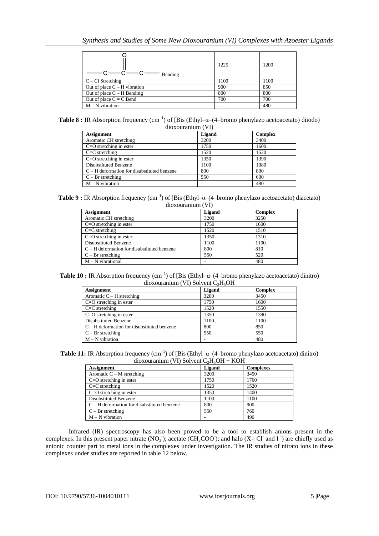| Bending                        | 1225 | 1200 |
|--------------------------------|------|------|
| $C - Cl$ Stretching            | 1100 | 1100 |
| Out of place $C - H$ vibration | 900  | 850  |
| Out of place $C - H$ Bending   | 800  | 800  |
| Out of place $C = C$ Bend      | 700  | 700  |
| $M - N$ vibration              |      | 480  |

**Table 8 :** IR Absorption frequency  $(cm^{-1})$  of [Bis (Ethyl- $\alpha$ -(4-bromo phenylazo acetoacetato) diiodo) dioxouranium (VI)

| <b>Assignment</b>                           | Ligand | <b>Complex</b> |
|---------------------------------------------|--------|----------------|
| Aromatic CH stretching                      | 3200   | 3400           |
| $C=O$ stretching in ester                   | 1750   | 1600           |
| $C=C$ stretching                            | 1520   | 1520           |
| $C=O$ stretching in ester                   | 1350   | 1390           |
| <b>Disubstituted Benzene</b>                | 1100   | 1080           |
| $C-H$ deformation for disubstituted benzene | 800    | 800            |
| $C - Br$ stretching                         | 550    | 600            |
| $M - N$ vibration                           |        | 480            |

**Table 9 :** IR Absorption frequency  $(cm^{-1})$  of [Bis (Ethyl- $\alpha$ -(4-bromo phenylazo acetoacetato) diacetato) dioxouranium (VI)

| <b>Assignment</b>                           | <b>Ligand</b> | <b>Complex</b> |
|---------------------------------------------|---------------|----------------|
| Aromatic CH stretching                      | 3200          | 3250           |
| $C=O$ stretching in ester                   | 1750          | 1600           |
| $C=C$ stretching                            | 1520          | 1510           |
| $C=O$ stretching in ester                   | 1350          | 1310           |
| <b>Disubstituted Benzene</b>                | 1100          | 1100           |
| $C-H$ deformation for disubstituted benzene | 800           | 810            |
| $C - Br$ stretching                         | 550           | 520            |
| $M - N$ vibrational                         |               | 480            |

**Table 10 :** IR Absorption frequency  $(cm^{-1})$  of [Bis (Ethyl- $\alpha$ –(4–bromo phenylazo acetoacetato) dinitro) dioxouranium (VI) Solvent  $C_2H_5OH$ 

| $\frac{1}{2}$                                 |        |                |  |  |  |
|-----------------------------------------------|--------|----------------|--|--|--|
| <b>Assignment</b>                             | Ligand | <b>Complex</b> |  |  |  |
| Aromatic $C - H$ stretching                   | 3200   | 3450           |  |  |  |
| $C = O$ stretching in ester                   | 1750   | 1600           |  |  |  |
| $C=C$ stretching                              | 1520   | 1550           |  |  |  |
| $C=O$ stretching in ester                     | 1350   | 1390           |  |  |  |
| <b>Disubstituted Benzene</b>                  | 1100   | 1100           |  |  |  |
| $C - H$ deformation for disubstituted benzene | 800    | 850            |  |  |  |
| $C - Br$ stretching                           | 550    | 550            |  |  |  |
| $M - N$ vibration                             | -      | 480            |  |  |  |
|                                               |        |                |  |  |  |

**Table 11:** IR Absorption frequency  $(cm^{-1})$  of [Bis (Ethyl- $\alpha$ -(4-bromo phenylazo acetoacetato) dinitro) dioxouranium (VI) Solvent  $C_2H_5OH + KOH$ 

| <b>Assignment</b>                           | Ligand | <b>Complexes</b> |  |  |  |
|---------------------------------------------|--------|------------------|--|--|--|
| Aromatic $C - M$ stretching                 | 3200   | 3450             |  |  |  |
| $C=O$ stretching in ester                   | 1750   | 1760             |  |  |  |
| $C=C$ stretching                            | 1520   | 1520             |  |  |  |
| $C=O$ stretching in ester                   | 1350   | 1400             |  |  |  |
| <b>Disubstituted Benzene</b>                | 1100   | 1100             |  |  |  |
| $C-H$ deformation for disubstituted benzene | 800    | 900              |  |  |  |
| $C - Br$ stretching                         | 550    | 760              |  |  |  |
| $M - N$ vibration                           |        | 490              |  |  |  |

Infrared (IR) spectroscopy has also been proved to be a tool to establish anions present in the complexes. In this present paper nitrate  $(NO_3)$ ; acetate  $(CH_3COO)$ ; and halo  $(X=Cl^{\dagger}$  and I<sup>-</sup>) are chiefly used as anionic counter part to metal ions in the complexes under investigation. The IR studies of nitrato ions in these complexes under studies are reported in table 12 below.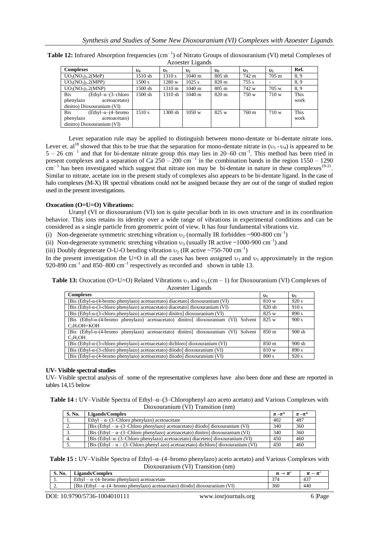| AZUESIEI LIPAIIUS                        |                |                |                  |                  |       |                 |      |
|------------------------------------------|----------------|----------------|------------------|------------------|-------|-----------------|------|
| <b>Complexes</b>                         | $\mathbf{v}_4$ | $\mathbf{U}_1$ | $\mathbf{v}_2$   | $v_{6}$          | $v_3$ | $\mathbf{v}_5$  | Ref. |
| $UO2(NO3)2$ .2(MeP)                      | 1510 sh        | 1310 s         | $1040 \text{ m}$ | $805 \text{ sh}$ | 742 m | $705 \text{ m}$ | 8.9  |
| $UO2(NO3)2 (MPP)$                        | 1500 s         | 1280 w         | $1025$ s         | $820 \text{ m}$  | 755 s |                 | 8.9  |
| $UO2(NO3)2 (MNP)$                        | 1500 sh        | 1310 m         | $1040 \text{ m}$ | $805 \text{ m}$  | 742 w | 705 w           | 8.9  |
| <b>Bis</b><br>$(Ethyl-\alpha-(3-chloro)$ | 1500 sh        | 1310 sh        | $1040 \text{ m}$ | $820 \text{ m}$  | 750 w | 710 w           | This |
| phenylazo<br>acetoacetato)               |                |                |                  |                  |       |                 | work |
| dinitro) Dioxouranium (VI)               |                |                |                  |                  |       |                 |      |
| <b>Bis</b><br>$(Ethvl-a-(4-bromo$        | 1510 s         | 1300 sh        | 1050 w           | 825 w            | 760 m | 710 w           | This |
| phenylazo<br>acetoacetato)               |                |                |                  |                  |       |                 | work |
| dinitro) Dioxouranium (VI)               |                |                |                  |                  |       |                 |      |

Table 12: Infrared Absorption frequencies (cm<sup>-1</sup>) of Nitrato Groups of dioxouranium (VI) metal Complexes of Azoester Ligands

Lever separation rule may be applied to distinguish between mono-dentate or bi-dentate nitrate ions. Lever et. al<sup>18</sup> showed that this to be true that the separation for mono-dentate nitrate in  $(v_1 - v_4)$  is appeared to be  $5 - 26$  cm<sup>-1</sup> and that for bi-dentate nitrate group this may lies in 20–60 cm<sup>-1</sup>. This method has been tried in present complexes and a separation of Ca  $250 - 200$  cm<sup>-1</sup> in the combination bands in the region  $1550 - 1290$  $\text{cm}^{-1}$  has been investigated which suggest that nitrate ion may be bi-dentate in nature in these complexes<sup>19-21</sup>. Similar to nitrate, acetate ion in the present study of complexes also appears to be bi-dentate ligand. In the case of halo complexes (M-X) IR spectral vibrations could not be assigned because they are out of the range of studied region used in the present investigations.

#### **Oxocation (O=U=O) Vibrations:**

Uranyl (VI or dioxouranium (VI) ion is quite peculiar both in its own structure and in its coordination behavior. This ions retains its identity over a wide range of vibrations in experimental conditions and can be considered as a single particle from geometric point of view. It has four fundamental vibrations viz.

(i) Non-degenerate symmetric stretching vibration  $v_2$  (normally IR forbidden ~900-800 cm<sup>-1</sup>)

(ii) Non-degenerate symmetric stretching vibration  $v_3$  (usually IR active ~1000-900 cm<sup>-1</sup>) and

(iii) Doubly degenerate O-U-O bending vibration  $v_2$  (IR active ~750-700 cm<sup>-1</sup>)

In the present investigation the U=O in all the cases has been assigned  $v_3$  and  $v_1$  approximately in the region 920-890  $\text{cm}^{-1}$  and 850–800  $\text{cm}^{-1}$  respectively as recorded and shown in table 13.

**Table 13:** Oxocation (O=U=O) Related Vibrations  $v_1$  and  $v_3$  (cm – 1) for Dioxouranium (VI) Complexes of Azoester Ligands

| <b>Complexes</b>                                                                               | $\mathbf{v}_1$  | $v_3$  |
|------------------------------------------------------------------------------------------------|-----------------|--------|
| [Bis (Ethyl- $\alpha$ -(4-bromo phenylazo) acetoacetato) diacetato] dioxouranium (VI)          |                 | 920 s  |
| [Bis (Ethyl- $\alpha$ -(3-chloro phenylazo) acetoacetato) diacetato] dioxouranium (VI)         | 820 sh          | 910 s  |
| [Bis (Ethyl- $\alpha$ -(3-chloro phenylazo) acetoacetato) dinitro] dioxouranium (VI)           | 825 w           | 890 s  |
| [Bis (Ethyl- $\alpha$ -(4-bromo phenylazo) acetoacetato) dinitro] dioxouranium (VI)<br>Solvent | 825 w           | 900 s  |
| C <sub>2</sub> H <sub>5</sub> OH+KOH                                                           |                 |        |
| [Bis (Ethyl- $\alpha$ -(4-bromo phenylazo) acetoacetato) dinitro] dioxouranium (VI) Solvent    | $850 \text{ m}$ | 900 sh |
| $C_2H_5OH$                                                                                     |                 |        |
| [Bis (Ethyl- $\alpha$ -(3-chloro phenylazo) acetoacetato) dichloro] dioxouranium (VI)          | 850 m           | 900 sh |
| [Bis (Ethyl-α-(3-chloro phenylazo) acetoacetato) diiodo] dioxouranium (VI)                     | 810 w           | 890 s  |
| [Bis (Ethyl- $\alpha$ -(4-bromo phenylazo) acetoacetato) diiodo] dioxouranium (VI)             | 800 s           | 920 s  |

#### **UV- Visible spectral studies**

UV- Visible spectral analysis of some of the representative complexes have also been done and these are reported in tables 14,15 below

| <b>Table 14 :</b> UV-Visible Spectra of Ethyl- $\alpha$ -(3-Chlorophenyl azo aceto acetato) and Various Complexes with |  |
|------------------------------------------------------------------------------------------------------------------------|--|
| Dioxouranium (VI) Transition (nm)                                                                                      |  |

| S. No.     | Ligands/Complex                                                                          | $\pi - \pi^*$ | $\pi - \pi^*$ |
|------------|------------------------------------------------------------------------------------------|---------------|---------------|
| 1.         | Ethyl – $\alpha$ – $(3$ –Chloro phenylazo) acetoacetate                                  | 402           | 487           |
| <u>، ،</u> | [Bis (Ethyl – $\alpha$ –(3–Chloro phenylazo) acetoacetato) diiodo] dioxouranium (VI)     | 340           | 360           |
|            | [Bis (Ethyl – $\alpha$ –(3–Chloro phenylazo) acetoacetato) dinitro] dioxouranium (VI)    | 340           | 360           |
| 4.         | [Bis (Ethyl- $\alpha$ -(3-Chloro phenylazo) acetoacetato) diaceteto] dioxouranium (VI)   | 450           | 460           |
|            | [Bis (Ethyl – $\alpha$ – (3–Chloro phenyl azo) acetoacetato) dichloro] dioxouranium (VI) | 450           | 460           |

**Table 15 :** UV–Visible Spectra of Ethyl–α–(4–bromo phenylazo) aceto acetato) and Various Complexes with Dioxouranium (VI) Transition (nm)

| S. No.   | <b>Ligands/Complex</b>                                                                             | $\mathbf{r}$    |     |
|----------|----------------------------------------------------------------------------------------------------|-----------------|-----|
| .        | Ethyl<br>-bromo phenvlazo) acetoacetate<br>$\sim$<br>$-\alpha - (4 -$                              | $\gamma$ $\tau$ | 437 |
| <u>.</u> | [Bis (Ethyl-<br>VI.<br>-bromo phenylazo) acetoacetato) diiodo!<br>$\sim$<br>dioxouranium<br>$\sim$ | 360             | 440 |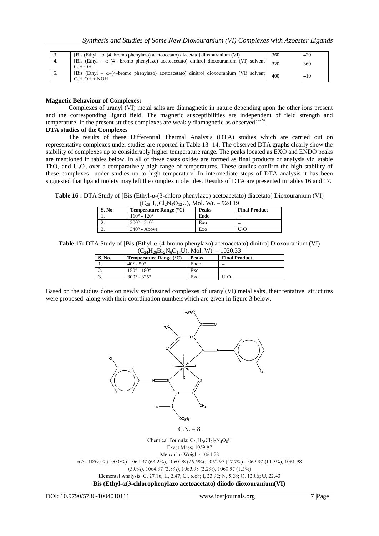| <u>.</u> | [Bis (Ethyl – $\alpha$ –(4–bromo phenylazo) acetoacetato) diacetato] dioxouranium (VI)                           | 360 | 420 |
|----------|------------------------------------------------------------------------------------------------------------------|-----|-----|
|          | [Bis (Ethyl – $\alpha$ –(4 –bromo phenylazo) acetoacetato) dinitro] dioxouranium (VI) solvent<br>$C_2H_5OH$      | 320 | 360 |
|          | [Bis (Ethyl – $\alpha$ –(4–bromo phenylazo) acetoacetato) dinitro] dioxouranium (VI) solvent<br>$C_2H_5OH + KOH$ | 400 | 410 |

#### **Magnetic Behaviour of Complexes:**

Complexes of uranyl (VI) metal salts are diamagnetic in nature depending upon the other ions present and the corresponding ligand field. The magnetic susceptibilities are independent of field strength and temperature. In the present studies complexes are weakly diamagnetic as observed $^{22-24}$ .

#### **DTA studies of the Complexes**

The results of these Differential Thermal Analysis (DTA) studies which are carried out on representative complexes under studies are reported in Table 13 -14. The observed DTA graphs clearly show the stability of complexes up to considerably higher temperature range. The peaks located as EXO and ENDO peaks are mentioned in tables below. In all of these cases oxides are formed as final products of analysis viz. stable ThO<sub>2</sub> and U<sub>3</sub>O<sub>8</sub> over a comparatively high range of temperatures. These studies confirm the high stability of these complexes under studies up to high temperature. In intermediate steps of DTA analysis it has been suggested that ligand moiety may left the complex molecules. Results of DTA are presented in tables 16 and 17.

**Table 16 :** DTA Study of [Bis (Ethyl-α-(3-chloro phenylazo) acetoacetato) diacetato] Dioxouranium (VI)

| S. No. | <b>Temperature Range</b> $(^{\circ}C)$ | Peaks | <b>Final Product</b> |
|--------|----------------------------------------|-------|----------------------|
|        | $110^{\circ} - 120^{\circ}$            | Endo  |                      |
| ,.     | $200^{\circ} - 210^{\circ}$            | Exo   |                      |
| J .    | $340^\circ$ - Above                    | Exo   | U3Os                 |

**Table 17:** DTA Study of [Bis (Ethyl-α-(4-bromo phenylazo) acetoacetato) dinitro] Dioxouranium (VI)

| $(C_{24}H_{26}Br_2N_6O_{14}U)$ , Mol. Wt. - 1020.33 |                                                   |              |                      |  |  |  |
|-----------------------------------------------------|---------------------------------------------------|--------------|----------------------|--|--|--|
| <b>S. No.</b>                                       | <b>Temperature Range <math>(^{\circ}C)</math></b> | <b>Peaks</b> | <b>Final Product</b> |  |  |  |
|                                                     | $40^{\circ} - 50^{\circ}$                         | Endo         |                      |  |  |  |
|                                                     | $150^{\circ} - 180^{\circ}$                       | Exo          |                      |  |  |  |
|                                                     | $300^{\circ} - 325^{\circ}$                       | Exo          | $U_3O_8$             |  |  |  |

Based on the studies done on newly synthesized complexes of uranyl(VI) metal salts, their tentative structures were proposed along with their coordination numberswhich are given in figure 3 below.



Exact Mass: 1059.97 Molecular Weight: 1061.23

m/z; 1059.97 (100.0%), 1061.97 (64.2%), 1060.98 (26.5%), 1062.97 (17.7%), 1063.97 (11.5%), 1061.98  $(5.0\%)$ , 1064.97 (2.8%), 1063.98 (2.2%), 1060.97 (1.5%)

Elemental Analysis: C, 27.16; H, 2.47; Cl, 6.68; I, 23.92; N, 5.28; O, 12.06; U, 22.43

**Bis (Ethyl-α(3-chlorophenylazo acetoacetato) diiodo dioxouranium(VI)**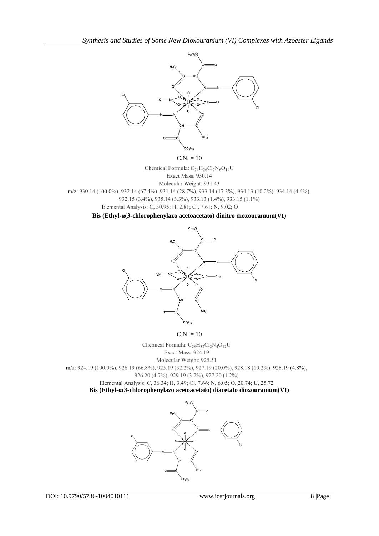

DC<sub>2</sub>H.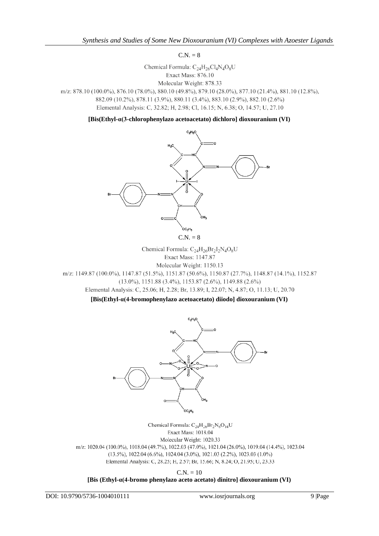$C.N. = 8$ 

Chemical Formula:  $C_{24}H_{26}Cl_4N_4O_8U$ Exact Mass: 876.10 Molecular Weight: 878.33

m/z: 878.10 (100.0%), 876.10 (78.0%), 880.10 (49.8%), 879.10 (28.0%), 877.10 (21.4%), 881.10 (12.8%), 882.09 (10.2%), 878.11 (3.9%), 880.11 (3.4%), 883.10 (2.9%), 882.10 (2.6%) Elemental Analysis: C, 32.82; H, 2.98; Cl, 16.15; N, 6.38; O, 14.57; U, 27.10

**[Bis(Ethyl-α(3-chlorophenylazo acetoacetato) dichloro] dioxouranium (VI)**



$$
C.N. = 8
$$

Chemical Formula:  $C_{24}H_{26}Br_2I_2N_4O_8U$ Exact Mass: 1147.87 Molecular Weight: 1150.13 m/z: 1149.87 (100.0%), 1147.87 (51.5%), 1151.87 (50.6%), 1150.87 (27.7%), 1148.87 (14.1%), 1152.87 (13.0%), 1151.88 (3.4%), 1153.87 (2.6%), 1149.88 (2.6%) Elemental Analysis: C, 25.06; H, 2.28; Br, 13.89; I, 22.07; N, 4.87; O, 11.13; U, 20.70

**[Bis(Ethyl-α(4-bromophenylazo acetoacetato) diiodo] dioxouranium (VI)**



Chemical Formula:  $C_{24}H_{26}Br_2N_6O_{14}U$ Exact Mass: 1018.04 Molecular Weight: 1020.33 m/z: 1020.04 (100.0%), 1018.04 (49.7%), 1022.03 (47.0%), 1021.04 (26.0%), 1019.04 (14.4%), 1023.04  $(13.5\%), 1022.04 (6.6\%), 1024.04 (3.0\%), 1021.03 (2.2\%), 1023.03 (1.0\%)$ Elemental Analysis: C, 28.25; H, 2.57; Br, 15.66; N, 8.24; O, 21.95; U, 23.33

 $C.N. = 10$ 

# **[Bis (Ethyl-α(4-bromo phenylazo aceto acetato) dinitro] dioxouranium (VI)**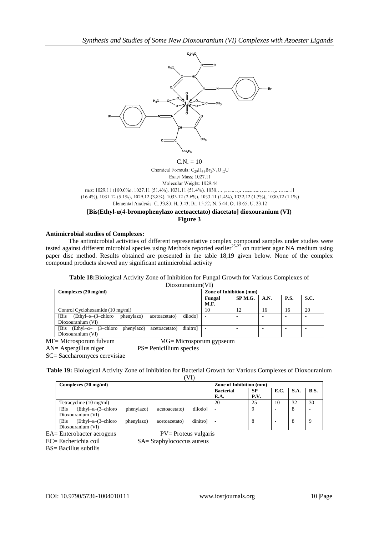

# Exact Mass: 1027.11

Molecular Weight: 1029.44 m/z: 1029.11 (100.0%), 1027.11 (51.4%), 1031.11 (51.4%), 1030.  $\overline{1}$ (16.4%), 1031.12 (5.1%), 1029.12 (3.8%), 1033.12 (2.6%), 1033.11 (1.4%), 1032.12 (1.3%), 1030.12 (1.1%) Elemental Analysis: C, 33.83; H, 3.43; Br, 15.52; N, 5.44; O, 18.65; U, 23.12

**[Bis(Ethyl-α(4-bromophenylazo acetoacetato) diacetato] dioxouranium (VI) Figure 3**

# **Antimicrobial studies of Complexes:**

The antimicrobial activities of different representative complex compound samples under studies were tested against different microbial species using Methods reported earlier<sup>25-27</sup> on nutrient agar NA medium using paper disc method. Results obtained are presented in the table 18,19 given below. None of the complex compound products showed any significant antimicrobial activity

**Table 18:**Biological Activity Zone of Inhibition for Fungal Growth for Various Complexes of

Dioxouranium(VI)

| Complexes (20 mg/ml)                                                      | Zone of Inhibition (mm) |         |                           |             |             |  |  |  |
|---------------------------------------------------------------------------|-------------------------|---------|---------------------------|-------------|-------------|--|--|--|
|                                                                           | Fungal<br>M.F.          | SP M.G. | $\mathbf{A}.\mathbf{N}$ . | <b>P.S.</b> | <b>S.C.</b> |  |  |  |
|                                                                           |                         |         |                           |             |             |  |  |  |
| Control Cyclohexamide (10 mg/ml)                                          | 10                      | 12      | 16                        | 16          | 20          |  |  |  |
| Bis<br>diiodol<br>$(Ethyl-\alpha-(3-chloro)$ phenylazo)<br>acetoacetato)  |                         |         |                           |             |             |  |  |  |
| Dioxouranium (VI)                                                         |                         |         |                           |             |             |  |  |  |
| dinitrol<br>[Bis (Ethyl- $\alpha$ - (3-chloro phenylazo)<br>acetoacetato) |                         |         |                           |             |             |  |  |  |
| Dioxouranium (VI)                                                         |                         |         |                           |             |             |  |  |  |

MF= Microsporum fulvum MG= Microsporum gypseum

AN= Aspergillus niger PS= Penicillium species

SC= Saccharomyces cerevisiae

**Table 19:** Biological Activity Zone of Inhibition for Bacterial Growth for Various Complexes of Dioxouranium

| Complexes (20 mg/ml) |                            |            |               |          | Zone of Inhibition (mm) |           |      |      |             |  |
|----------------------|----------------------------|------------|---------------|----------|-------------------------|-----------|------|------|-------------|--|
|                      |                            |            |               |          | <b>Bacterial</b>        | <b>SP</b> | E.C. | S.A. | <b>B.S.</b> |  |
|                      |                            |            |               |          | E.A.                    | P.V.      |      |      |             |  |
|                      | Tetracycline (10 mg/ml)    |            |               |          | 20                      | 25        | 10   | 32   | 30          |  |
| <b>Bis</b>           | $(Ethvl-\alpha-(3-chloro)$ | phenylazo) | acetoacetato) | diiodol  |                         |           | -    | 8    |             |  |
| Dioxouranium (VI)    |                            |            |               |          |                         |           |      |      |             |  |
| 'Bis                 | $(Ethvl–\alpha–(3–chloro)$ | phenylazo) | acetoacetato) | dinitrol |                         |           |      | 8    |             |  |
|                      | Dioxouranium (VI)          |            |               |          |                         |           |      |      |             |  |

EA= Enterobacter aerogens PV= Proteus vulgaris

EC= Escherichia coil SA= Staphylococcus aureus

BS= Bacillus subtilis